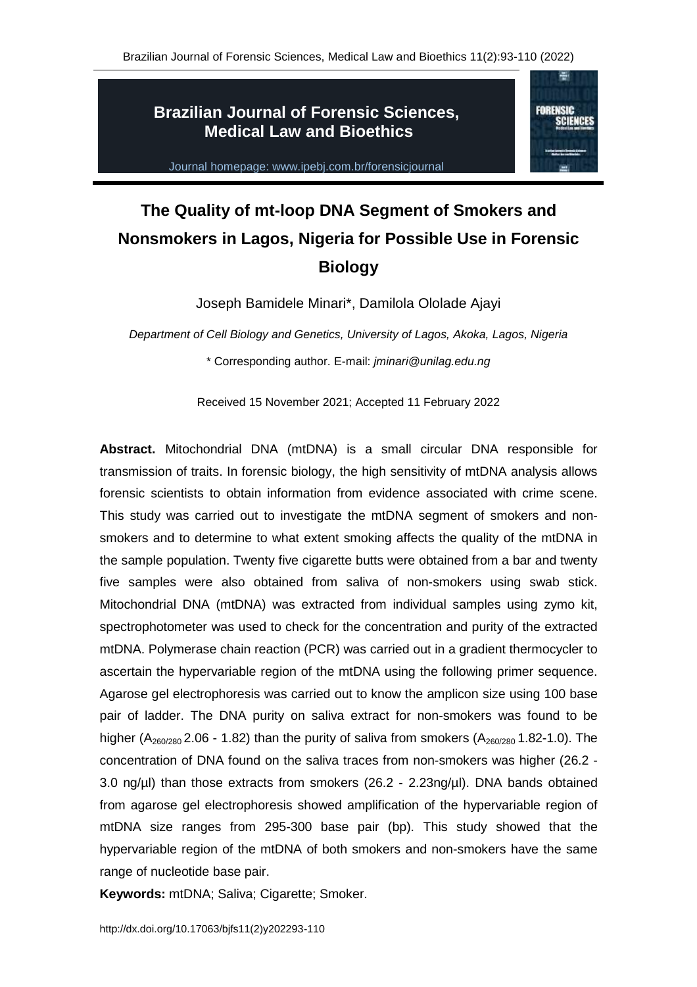**FORENSIC** SCIENCES

# **Brazilian Journal of Forensic Sciences, Medical Law and Bioethics**



# **The Quality of mt-loop DNA Segment of Smokers and Nonsmokers in Lagos, Nigeria for Possible Use in Forensic Biology**

Joseph Bamidele Minari\*, Damilola Ololade Ajayi

*Department of Cell Biology and Genetics, University of Lagos, Akoka, Lagos, Nigeria* \* Corresponding author. E-mail: *jminari@unilag.edu.ng*

Received 15 November 2021; Accepted 11 February 2022

**Abstract.** Mitochondrial DNA (mtDNA) is a small circular DNA responsible for transmission of traits. In forensic biology, the high sensitivity of mtDNA analysis allows forensic scientists to obtain information from evidence associated with crime scene. This study was carried out to investigate the mtDNA segment of smokers and nonsmokers and to determine to what extent smoking affects the quality of the mtDNA in the sample population. Twenty five cigarette butts were obtained from a bar and twenty five samples were also obtained from saliva of non-smokers using swab stick. Mitochondrial DNA (mtDNA) was extracted from individual samples using zymo kit, spectrophotometer was used to check for the concentration and purity of the extracted mtDNA. Polymerase chain reaction (PCR) was carried out in a gradient thermocycler to ascertain the hypervariable region of the mtDNA using the following primer sequence. Agarose gel electrophoresis was carried out to know the amplicon size using 100 base pair of ladder. The DNA purity on saliva extract for non-smokers was found to be higher ( $A_{260/280}$  2.06 - 1.82) than the purity of saliva from smokers ( $A_{260/280}$  1.82-1.0). The concentration of DNA found on the saliva traces from non-smokers was higher (26.2 - 3.0 ng/µl) than those extracts from smokers (26.2 - 2.23ng/µl). DNA bands obtained from agarose gel electrophoresis showed amplification of the hypervariable region of mtDNA size ranges from 295-300 base pair (bp). This study showed that the hypervariable region of the mtDNA of both smokers and non-smokers have the same range of nucleotide base pair.

**Keywords:** mtDNA; Saliva; Cigarette; Smoker.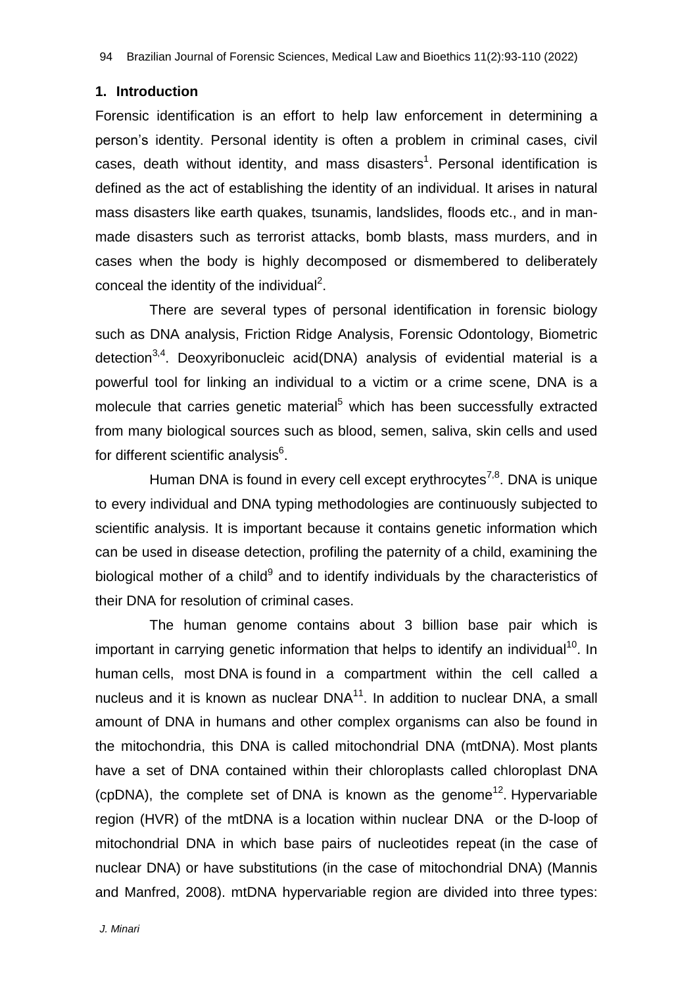#### **1. Introduction**

Forensic identification is an effort to help law enforcement in determining a person's identity. Personal identity is often a problem in criminal cases, civil cases, death without identity, and mass disasters<sup>1</sup>. Personal identification is defined as the act of establishing the identity of an individual. It arises in natural mass disasters like earth quakes, tsunamis, landslides, floods etc., and in manmade disasters such as terrorist attacks, bomb blasts, mass murders, and in cases when the body is highly decomposed or dismembered to deliberately conceal the identity of the individual<sup>2</sup>.

There are several types of personal identification in forensic biology such as DNA analysis, Friction Ridge Analysis, Forensic Odontology, Biometric detection<sup>3,4</sup>. Deoxyribonucleic acid(DNA) analysis of evidential material is a powerful tool for linking an individual to a victim or a crime scene, DNA is a molecule that carries genetic material<sup>5</sup> which has been successfully extracted from many biological sources such as blood, semen, saliva, skin cells and used for different scientific analysis $^6$ .

Human DNA is found in every cell except erythrocytes<sup>7,8</sup>. DNA is unique to every individual and DNA typing methodologies are continuously subjected to scientific analysis. It is important because it contains genetic information which can be used in disease detection, profiling the paternity of a child, examining the biological mother of a child<sup>9</sup> and to identify individuals by the characteristics of their DNA for resolution of criminal cases.

The human genome contains about 3 billion base pair which is important in carrying genetic information that helps to identify an individual<sup>10</sup>. In human cells, most DNA is found in a compartment within the cell called a nucleus and it is known as nuclear  $DNA^{11}$ . In addition to nuclear DNA, a small amount of DNA in humans and other complex organisms can also be found in the mitochondria, this DNA is called mitochondrial DNA (mtDNA). Most plants have a set of DNA contained within their chloroplasts called chloroplast DNA (cpDNA), the complete set of DNA is known as the genome<sup>12</sup>. Hypervariable region (HVR) of the mtDNA is a location within nuclear DNA or the D-loop of mitochondrial DNA in which base pairs of nucleotides repeat (in the case of nuclear DNA) or have substitutions (in the case of mitochondrial DNA) [\(Mannis](https://onlinelibrary.wiley.com/action/doSearch?ContribAuthorRaw=van+Oven%2C+Mannis) [and](https://onlinelibrary.wiley.com/action/doSearch?ContribAuthorRaw=van+Oven%2C+Mannis) [Manfred,](https://onlinelibrary.wiley.com/action/doSearch?ContribAuthorRaw=Kayser%2C+Manfred) 2008). mtDNA hypervariable region are divided into three types: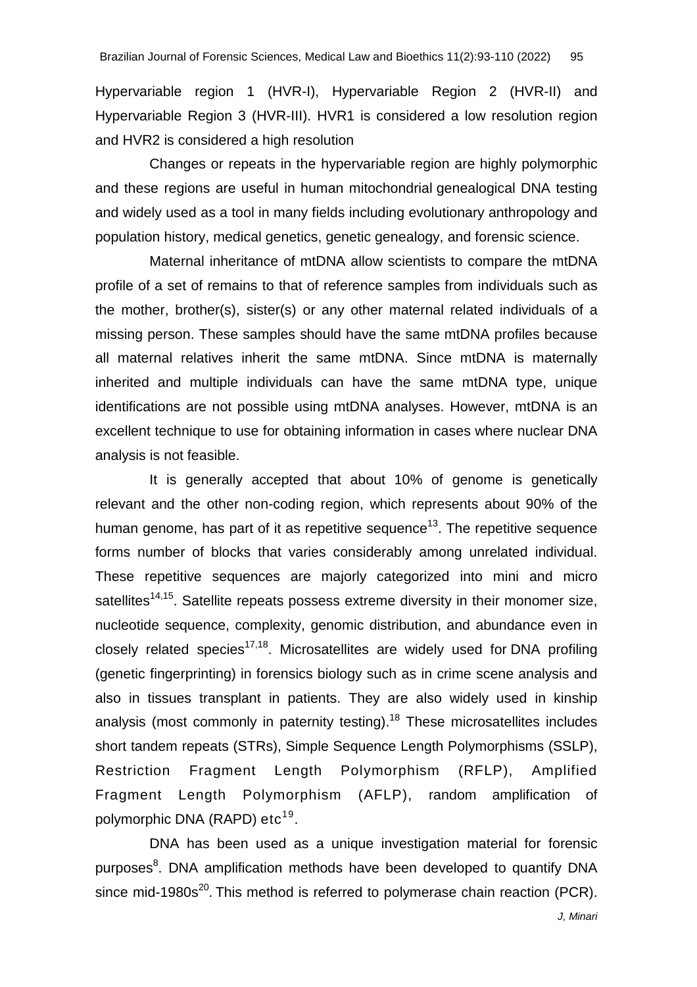Hypervariable region 1 (HVR-I), Hypervariable Region 2 (HVR-II) and Hypervariable Region 3 (HVR-III). HVR1 is considered a low resolution region and HVR2 is considered a high resolution

Changes or repeats in the hypervariable region are highly polymorphic and these regions are useful in human mitochondrial [genealogical](https://en.wikipedia.org/wiki/Genealogical_DNA_test) DNA testing and widely used as a tool in many fields including evolutionary anthropology and population history, medical genetics, genetic genealogy, and forensic science.

Maternal inheritance of mtDNA allow scientists to compare the mtDNA profile of a set of remains to that of reference samples from individuals such as the mother, brother(s), sister(s) or any other maternal related individuals of a missing person. These samples should have the same mtDNA profiles because all maternal relatives inherit the same mtDNA. Since mtDNA is maternally inherited and multiple individuals can have the same mtDNA type, unique identifications are not possible using mtDNA analyses. However, mtDNA is an excellent technique to use for obtaining information in cases where nuclear DNA analysis is not feasible.

It is generally accepted that about 10% of genome is genetically relevant and the other non-coding region, which represents about 90% of the human genome, has part of it as repetitive sequence<sup>13</sup>. The repetitive sequence forms number of blocks that varies considerably among unrelated individual. These repetitive sequences are majorly categorized into mini and micro satellites<sup>14,15</sup>. Satellite repeats possess extreme diversity in their monomer size, nucleotide sequence, complexity, genomic distribution, and abundance even in closely related species<sup>17,18</sup>. Microsatellites are widely used for DNA profiling (genetic fingerprinting) in forensics biology such as in crime scene analysis and also in tissues transplant in patients. They are also widely used in kinship analysis (most commonly in paternity testing).<sup>18</sup> These microsatellites includes short tandem repeats (STRs), Simple Sequence Length Polymorphisms (SSLP), Restriction Fragment Length Polymorphism (RFLP), Amplified Fragment Length Polymorphism (AFLP), random amplification of polymorphic DNA (RAPD) etc<sup>19</sup>.

DNA has been used as a unique investigation material for forensic purposes<sup>8</sup>. DNA amplification methods have been developed to quantify DNA since mid-1980s<sup>20</sup>. This method is referred to polymerase chain reaction (PCR).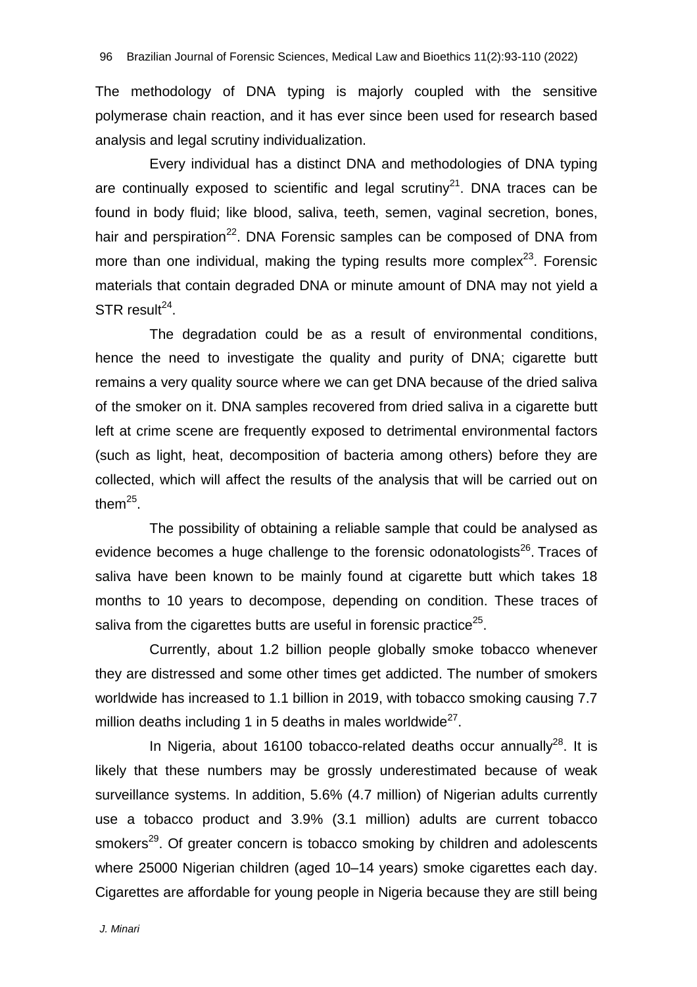The methodology of DNA typing is majorly coupled with the sensitive polymerase chain reaction, and it has ever since been used for research based analysis and legal scrutiny individualization.

Every individual has a distinct DNA and methodologies of DNA typing are continually exposed to scientific and legal scrutiny<sup>21</sup>. DNA traces can be found in body fluid; like blood, saliva, teeth, semen, vaginal secretion, bones, hair and perspiration<sup>22</sup>. DNA Forensic samples can be composed of DNA from more than one individual, making the typing results more complex $^{23}$ . Forensic materials that contain degraded DNA or minute amount of DNA may not yield a  $STR$  result<sup>24</sup>.

The degradation could be as a result of environmental conditions, hence the need to investigate the quality and purity of DNA; cigarette butt remains a very quality source where we can get DNA because of the dried saliva of the smoker on it. DNA samples recovered from dried saliva in a cigarette butt left at crime scene are frequently exposed to detrimental environmental factors (such as light, heat, decomposition of bacteria among others) before they are collected, which will affect the results of the analysis that will be carried out on them $^{25}$ .

The possibility of obtaining a reliable sample that could be analysed as evidence becomes a huge challenge to the forensic odonatologists<sup>26</sup>. Traces of saliva have been known to be mainly found at cigarette butt which takes 18 months to 10 years to decompose, depending on condition. These traces of saliva from the cigarettes butts are useful in forensic practice<sup>25</sup>.

Currently, about 1.2 billion people globally smoke tobacco whenever they are distressed and some other times get addicted. The number of smokers worldwide has increased to 1.1 billion in 2019, with tobacco smoking causing 7.7 million deaths including 1 in 5 deaths in males worldwide $^{27}$ .

In Nigeria, about 16100 tobacco-related deaths occur annually<sup>28</sup>. It is likely that these numbers may be grossly underestimated because of weak surveillance systems. In addition, 5.6% (4.7 million) of Nigerian adults currently use a tobacco product and 3.9% (3.1 million) adults are current tobacco smokers<sup>29</sup>. Of greater concern is tobacco smoking by children and adolescents where 25000 Nigerian children (aged 10–14 years) smoke cigarettes each day. Cigarettes are affordable for young people in Nigeria because they are still being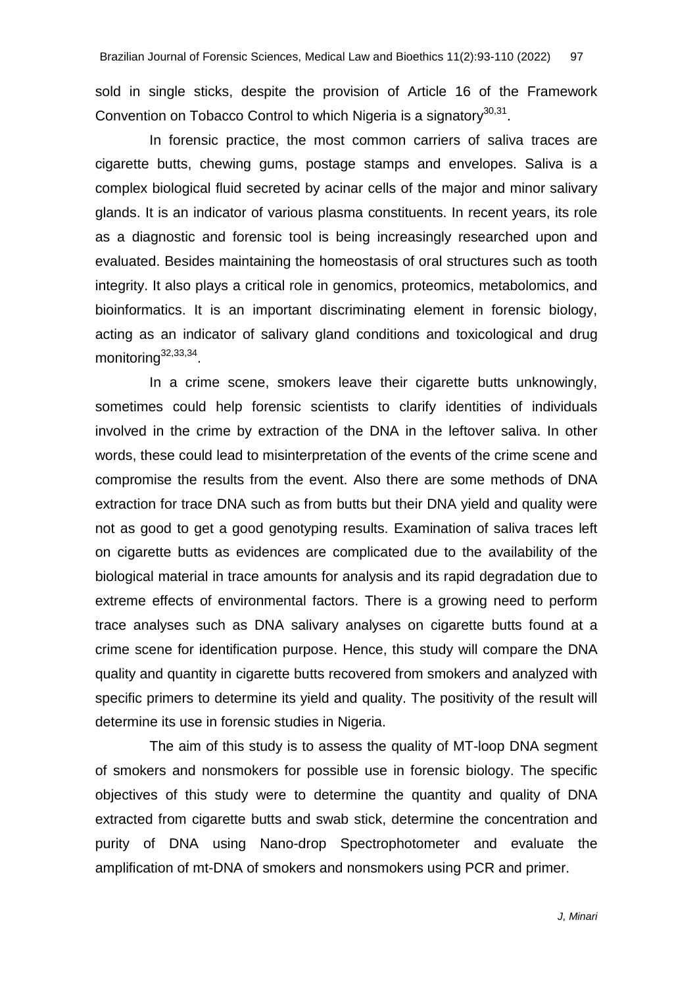sold in single sticks, despite the provision of Article 16 of the Framework Convention on Tobacco Control to which Nigeria is a signatory<sup>30,31</sup>.

In forensic practice, the most common carriers of saliva traces are cigarette butts, chewing gums, postage stamps and envelopes. Saliva is a complex biological fluid secreted by acinar cells of the major and minor salivary glands. It is an indicator of various plasma constituents. In recent years, its role as a diagnostic and forensic tool is being increasingly researched upon and evaluated. Besides maintaining the homeostasis of oral structures such as tooth integrity. It also plays a critical role in genomics, proteomics, metabolomics, and bioinformatics. It is an important discriminating element in forensic biology, acting as an indicator of salivary gland conditions and toxicological and drug monitoring<sup>32,33,34</sup>.

In a crime scene, smokers leave their cigarette butts unknowingly, sometimes could help forensic scientists to clarify identities of individuals involved in the crime by extraction of the DNA in the leftover saliva. In other words, these could lead to misinterpretation of the events of the crime scene and compromise the results from the event. Also there are some methods of DNA extraction for trace DNA such as from butts but their DNA yield and quality were not as good to get a good genotyping results. Examination of saliva traces left on cigarette butts as evidences are complicated due to the availability of the biological material in trace amounts for analysis and its rapid degradation due to extreme effects of environmental factors. There is a growing need to perform trace analyses such as DNA salivary analyses on cigarette butts found at a crime scene for identification purpose. Hence, this study will compare the DNA quality and quantity in cigarette butts recovered from smokers and analyzed with specific primers to determine its yield and quality. The positivity of the result will determine its use in forensic studies in Nigeria.

The aim of this study is to assess the quality of MT-loop DNA segment of smokers and nonsmokers for possible use in forensic biology. The specific objectives of this study were to determine the quantity and quality of DNA extracted from cigarette butts and swab stick, determine the concentration and purity of DNA using Nano-drop Spectrophotometer and evaluate the amplification of mt-DNA of smokers and nonsmokers using PCR and primer.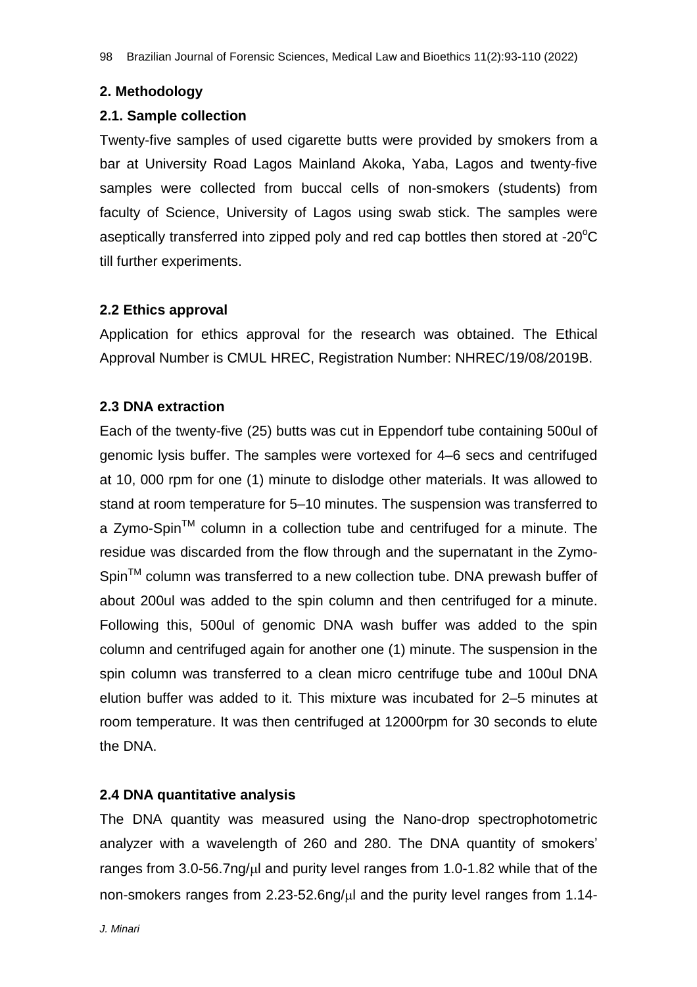# **2. Methodology**

#### **2.1. Sample collection**

Twenty-five samples of used cigarette butts were provided by smokers from a bar at University Road Lagos Mainland Akoka, Yaba, Lagos and twenty-five samples were collected from buccal cells of non-smokers (students) from faculty of Science, University of Lagos using swab stick. The samples were aseptically transferred into zipped poly and red cap bottles then stored at -20 $\mathrm{^{\circ}C}$ till further experiments.

# **2.2 Ethics approval**

Application for ethics approval for the research was obtained. The Ethical Approval Number is CMUL HREC, Registration Number: NHREC/19/08/2019B.

# **2.3 DNA extraction**

Each of the twenty-five (25) butts was cut in Eppendorf tube containing 500ul of genomic lysis buffer. The samples were vortexed for 4–6 secs and centrifuged at 10, 000 rpm for one (1) minute to dislodge other materials. It was allowed to stand at room temperature for 5–10 minutes. The suspension was transferred to a Zymo-Spin<sup>TM</sup> column in a collection tube and centrifuged for a minute. The residue was discarded from the flow through and the supernatant in the Zymo-Spin<sup>TM</sup> column was transferred to a new collection tube. DNA prewash buffer of about 200ul was added to the spin column and then centrifuged for a minute. Following this, 500ul of genomic DNA wash buffer was added to the spin column and centrifuged again for another one (1) minute. The suspension in the spin column was transferred to a clean micro centrifuge tube and 100ul DNA elution buffer was added to it. This mixture was incubated for 2–5 minutes at room temperature. It was then centrifuged at 12000rpm for 30 seconds to elute the DNA.

# **2.4 DNA quantitative analysis**

The DNA quantity was measured using the Nano-drop spectrophotometric analyzer with a wavelength of 260 and 280. The DNA quantity of smokers' ranges from  $3.0-56.7$ ng/ $\mu$ l and purity level ranges from 1.0-1.82 while that of the non-smokers ranges from 2.23-52.6ng/ul and the purity level ranges from 1.14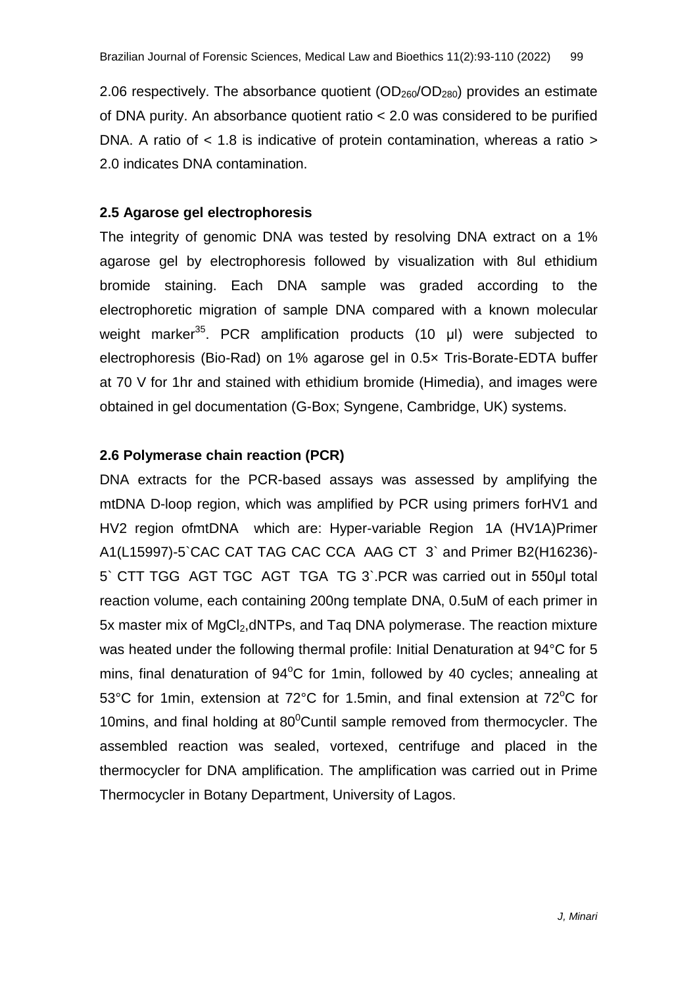2.06 respectively. The absorbance quotient  $(OD<sub>260</sub>/OD<sub>280</sub>)$  provides an estimate of DNA purity. An absorbance quotient ratio < 2.0 was considered to be purified DNA. A ratio of < 1.8 is indicative of protein contamination, whereas a ratio > 2.0 indicates DNA contamination.

#### **2.5 Agarose gel electrophoresis**

The integrity of genomic DNA was tested by resolving DNA extract on a 1% agarose gel by electrophoresis followed by visualization with 8ul ethidium bromide staining. Each DNA sample was graded according to the electrophoretic migration of sample DNA compared with a known molecular weight marker<sup>35</sup>. PCR amplification products (10 μl) were subjected to electrophoresis (Bio-Rad) on 1% agarose gel in 0.5× Tris-Borate-EDTA buffer at 70 V for 1hr and stained with ethidium bromide (Himedia), and images were obtained in gel documentation (G-Box; Syngene, Cambridge, UK) systems.

# **2.6 Polymerase chain reaction (PCR)**

DNA extracts for the PCR-based assays was assessed by amplifying the mtDNA D-loop region, which was amplified by PCR using primers forHV1 and HV2 region ofmtDNA which are: Hyper-variable Region 1A (HV1A)Primer A1(L15997)-5`CAC CAT TAG CAC CCA AAG CT 3` and Primer B2(H16236)- 5` CTT TGG AGT TGC AGT TGA TG 3`.PCR was carried out in 550μl total reaction volume, each containing 200ng template DNA, 0.5uM of each primer in 5x master mix of MgCl<sub>2</sub>,dNTPs, and Tag DNA polymerase. The reaction mixture was heated under the following thermal profile: Initial Denaturation at 94°C for 5 mins, final denaturation of  $94^{\circ}$ C for 1min, followed by 40 cycles; annealing at 53°C for 1min, extension at 72°C for 1.5min, and final extension at 72°C for 10mins, and final holding at 80 $\degree$ Cuntil sample removed from thermocycler. The assembled reaction was sealed, vortexed, centrifuge and placed in the thermocycler for DNA amplification. The amplification was carried out in Prime Thermocycler in Botany Department, University of Lagos.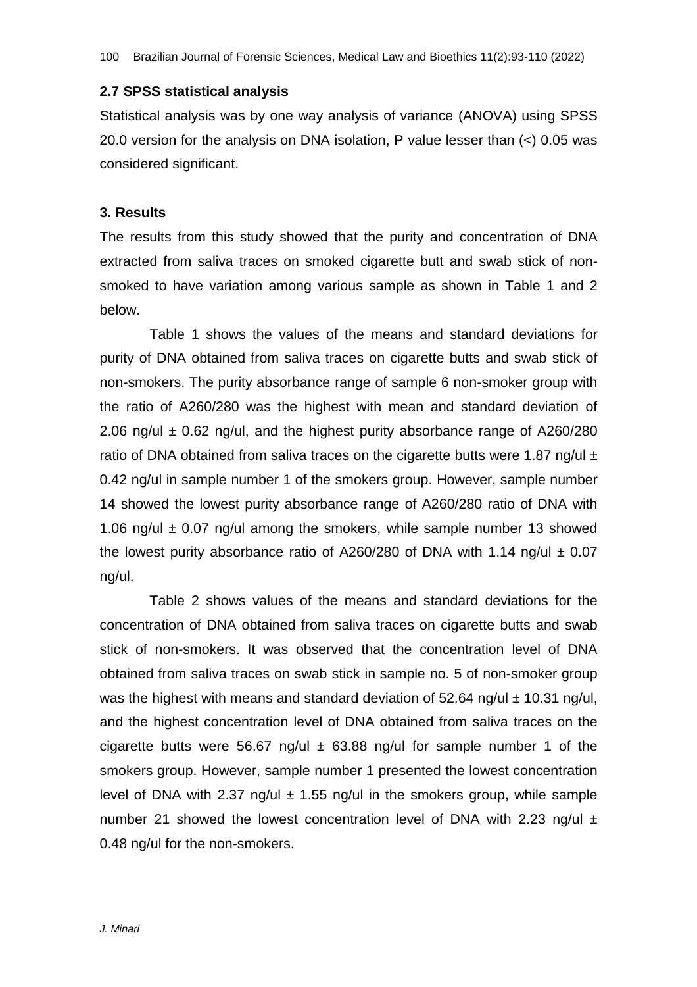#### **2.7 SPSS statistical analysis**

Statistical analysis was by one way analysis of variance (ANOVA) using SPSS 20.0 version for the analysis on DNA isolation, P value lesser than (<) 0.05 was considered significant.

#### **3. Results**

The results from this study showed that the purity and concentration of DNA extracted from saliva traces on smoked cigarette butt and swab stick of nonsmoked to have variation among various sample as shown in Table 1 and 2 below.

Table 1 shows the values of the means and standard deviations for purity of DNA obtained from saliva traces on cigarette butts and swab stick of non-smokers. The purity absorbance range of sample 6 non-smoker group with the ratio of A260/280 was the highest with mean and standard deviation of 2.06 ng/ul  $\pm$  0.62 ng/ul, and the highest purity absorbance range of A260/280 ratio of DNA obtained from saliva traces on the cigarette butts were 1.87 ng/ul  $\pm$ 0.42 ng/ul in sample number 1 of the smokers group. However, sample number 14 showed the lowest purity absorbance range of A260/280 ratio of DNA with 1.06 ng/ul  $\pm$  0.07 ng/ul among the smokers, while sample number 13 showed the lowest purity absorbance ratio of A260/280 of DNA with 1.14 ng/ul  $\pm$  0.07 ng/ul.

Table 2 shows values of the means and standard deviations for the concentration of DNA obtained from saliva traces on cigarette butts and swab stick of non-smokers. It was observed that the concentration level of DNA obtained from saliva traces on swab stick in sample no. 5 of non-smoker group was the highest with means and standard deviation of 52.64 ng/ul  $\pm$  10.31 ng/ul, and the highest concentration level of DNA obtained from saliva traces on the cigarette butts were 56.67 ng/ul  $\pm$  63.88 ng/ul for sample number 1 of the smokers group. However, sample number 1 presented the lowest concentration level of DNA with 2.37 ng/ul  $\pm$  1.55 ng/ul in the smokers group, while sample number 21 showed the lowest concentration level of DNA with 2.23 ng/ul  $\pm$ 0.48 ng/ul for the non-smokers.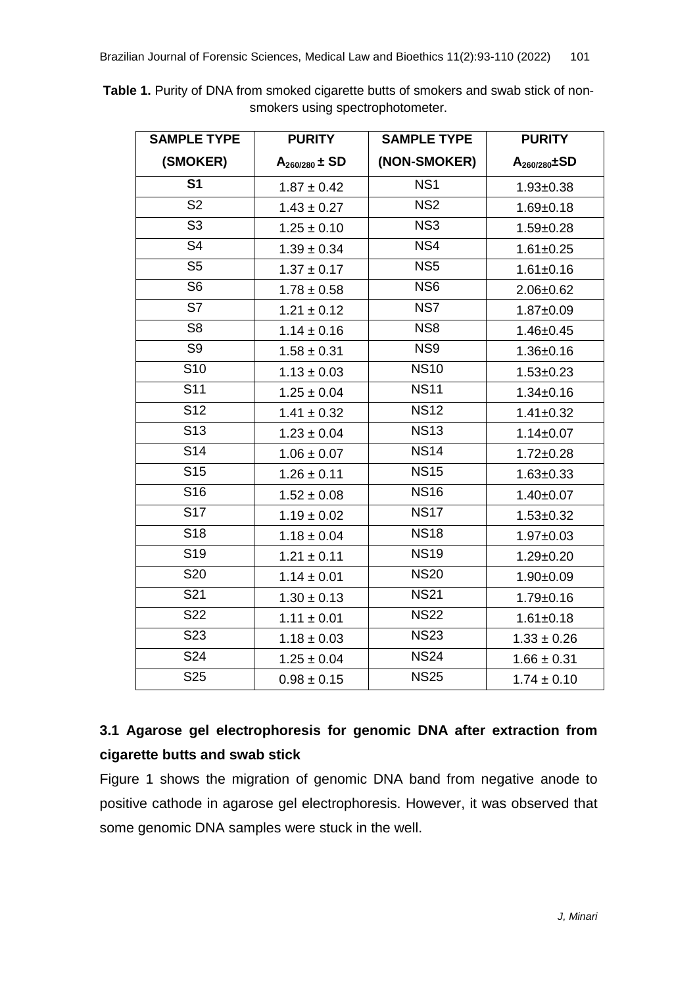| <b>SAMPLE TYPE</b> | <b>PURITY</b>      | <b>SAMPLE TYPE</b> | <b>PURITY</b>        |
|--------------------|--------------------|--------------------|----------------------|
| (SMOKER)           | $A_{260/280}$ ± SD | (NON-SMOKER)       | $A_{260/280} \pm SD$ |
| S <sub>1</sub>     | $1.87 \pm 0.42$    | NS <sub>1</sub>    | $1.93 \pm 0.38$      |
| S <sub>2</sub>     | $1.43 \pm 0.27$    | NS <sub>2</sub>    | $1.69 + 0.18$        |
| S <sub>3</sub>     | $1.25 \pm 0.10$    | NS <sub>3</sub>    | $1.59 \pm 0.28$      |
| S <sub>4</sub>     | $1.39 \pm 0.34$    | NS4                | $1.61 \pm 0.25$      |
| S <sub>5</sub>     | $1.37 \pm 0.17$    | NS <sub>5</sub>    | $1.61 \pm 0.16$      |
| S <sub>6</sub>     | $1.78 \pm 0.58$    | NS <sub>6</sub>    | $2.06 \pm 0.62$      |
| S7                 | $1.21 \pm 0.12$    | NS7                | $1.87 + 0.09$        |
| S <sub>8</sub>     | $1.14 \pm 0.16$    | NS8                | $1.46 \pm 0.45$      |
| S <sub>9</sub>     | $1.58 \pm 0.31$    | NS9                | $1.36 \pm 0.16$      |
| S <sub>10</sub>    | $1.13 \pm 0.03$    | <b>NS10</b>        | $1.53 \pm 0.23$      |
| S <sub>11</sub>    | $1.25 \pm 0.04$    | <b>NS11</b>        | $1.34 \pm 0.16$      |
| S <sub>12</sub>    | $1.41 \pm 0.32$    | <b>NS12</b>        | $1.41 \pm 0.32$      |
| S <sub>13</sub>    | $1.23 \pm 0.04$    | <b>NS13</b>        | $1.14 \pm 0.07$      |
| S <sub>14</sub>    | $1.06 \pm 0.07$    | <b>NS14</b>        | $1.72 \pm 0.28$      |
| S <sub>15</sub>    | $1.26 \pm 0.11$    | <b>NS15</b>        | $1.63 \pm 0.33$      |
| S <sub>16</sub>    | $1.52 \pm 0.08$    | <b>NS16</b>        | $1.40 \pm 0.07$      |
| S17                | $1.19 \pm 0.02$    | <b>NS17</b>        | $1.53 \pm 0.32$      |
| S <sub>18</sub>    | $1.18 \pm 0.04$    | <b>NS18</b>        | $1.97 \pm 0.03$      |
| S <sub>19</sub>    | $1.21 \pm 0.11$    | <b>NS19</b>        | $1.29 \pm 0.20$      |
| S20                | $1.14 \pm 0.01$    | <b>NS20</b>        | $1.90 + 0.09$        |
| S21                | $1.30 \pm 0.13$    | <b>NS21</b>        | $1.79 \pm 0.16$      |
| S22                | $1.11 \pm 0.01$    | <b>NS22</b>        | $1.61 \pm 0.18$      |
| S23                | $1.18 \pm 0.03$    | <b>NS23</b>        | $1.33 \pm 0.26$      |
| S24                | $1.25 \pm 0.04$    | <b>NS24</b>        | $1.66 \pm 0.31$      |
| S25                | $0.98 \pm 0.15$    | <b>NS25</b>        | $1.74 \pm 0.10$      |

**Table 1.** Purity of DNA from smoked cigarette butts of smokers and swab stick of nonsmokers using spectrophotometer.

# **3.1 Agarose gel electrophoresis for genomic DNA after extraction from cigarette butts and swab stick**

Figure 1 shows the migration of genomic DNA band from negative anode to positive cathode in agarose gel electrophoresis. However, it was observed that some genomic DNA samples were stuck in the well.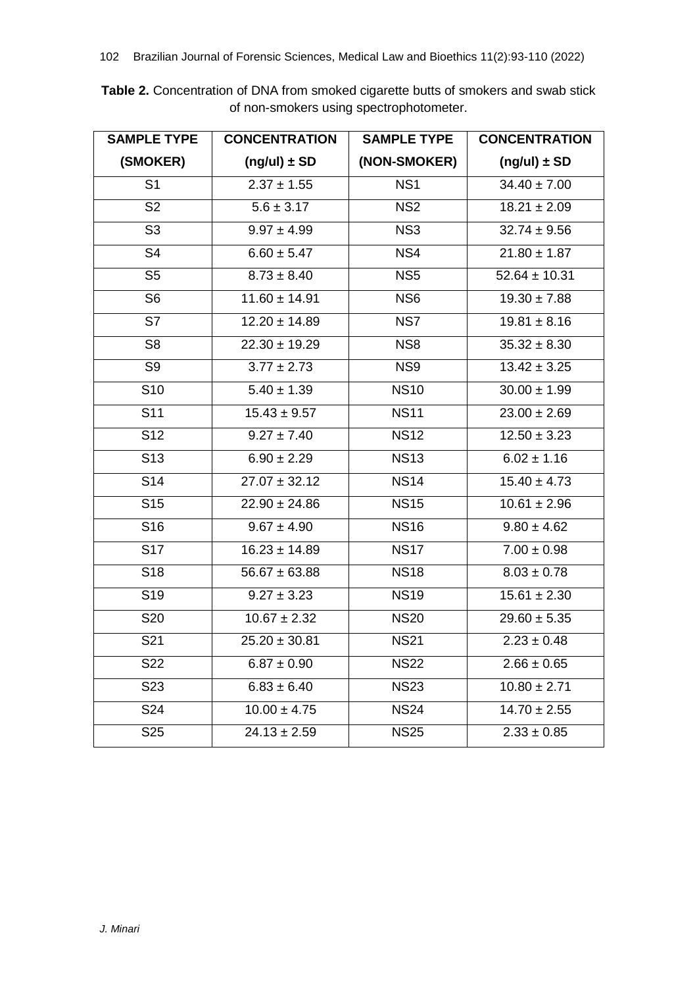**Table 2.** Concentration of DNA from smoked cigarette butts of smokers and swab stick of non-smokers using spectrophotometer.

| <b>SAMPLE TYPE</b> | <b>CONCENTRATION</b> | <b>SAMPLE TYPE</b> | <b>CONCENTRATION</b>        |
|--------------------|----------------------|--------------------|-----------------------------|
| (SMOKER)           | $(ng/u) \pm SD$      | (NON-SMOKER)       | $(ng/u) \pm SD$             |
| S <sub>1</sub>     | $2.37 \pm 1.55$      | NS <sub>1</sub>    | $34.40 \pm 7.00$            |
| S <sub>2</sub>     | $5.6 \pm 3.17$       | NS <sub>2</sub>    | $18.21 \pm 2.09$            |
| S <sub>3</sub>     | $9.97 \pm 4.99$      | NS <sub>3</sub>    | $32.74 \pm 9.56$            |
| S <sub>4</sub>     | $6.60 \pm 5.47$      | NS4                | $21.80 \pm 1.87$            |
| S <sub>5</sub>     | $8.73 \pm 8.40$      | NS <sub>5</sub>    | $52.64 \pm 10.31$           |
| S <sub>6</sub>     | $11.60 \pm 14.91$    | NS <sub>6</sub>    | $19.30 \pm 7.88$            |
| S7                 | $12.20 \pm 14.89$    | NS7                | $19.81 \pm 8.16$            |
| S <sub>8</sub>     | $22.30 \pm 19.29$    | NS <sub>8</sub>    | $35.32 \pm 8.30$            |
| S <sub>9</sub>     | $3.77 \pm 2.73$      | NS9                | $13.42 \pm 3.25$            |
| S <sub>10</sub>    | $5.40 \pm 1.39$      | <b>NS10</b>        | $30.00 \pm 1.99$            |
| S <sub>11</sub>    | $15.43 \pm 9.57$     | <b>NS11</b>        | $23.00 \pm 2.69$            |
| S <sub>12</sub>    | $9.27 \pm 7.40$      | <b>NS12</b>        | $12.\overline{50 \pm 3.23}$ |
| S <sub>13</sub>    | $6.90 \pm 2.29$      | <b>NS13</b>        | $6.02 \pm 1.16$             |
| S <sub>14</sub>    | $27.07 \pm 32.12$    | <b>NS14</b>        | $15.40 \pm 4.73$            |
| S <sub>15</sub>    | $22.90 \pm 24.86$    | <b>NS15</b>        | $10.61 \pm 2.96$            |
| S <sub>16</sub>    | $9.67 \pm 4.90$      | <b>NS16</b>        | $9.80 \pm 4.62$             |
| <b>S17</b>         | $16.23 \pm 14.89$    | <b>NS17</b>        | $7.00 \pm 0.98$             |
| S <sub>18</sub>    | $56.67 \pm 63.88$    | <b>NS18</b>        | $8.03 \pm 0.78$             |
| S <sub>19</sub>    | $9.27 \pm 3.23$      | <b>NS19</b>        | $15.61 \pm 2.30$            |
| S20                | $10.67 \pm 2.32$     | <b>NS20</b>        | $29.60 \pm 5.35$            |
| S21                | $25.20 \pm 30.81$    | <b>NS21</b>        | $2.23 \pm 0.48$             |
| S22                | $6.87 \pm 0.90$      | <b>NS22</b>        | $2.66 \pm 0.65$             |
| S <sub>23</sub>    | $6.83 \pm 6.40$      | <b>NS23</b>        | $10.80 \pm 2.71$            |
| S24                | $10.00 \pm 4.75$     | <b>NS24</b>        | $14.70 \pm 2.55$            |
| S <sub>25</sub>    | $24.13 \pm 2.59$     | <b>NS25</b>        | $2.33 \pm 0.85$             |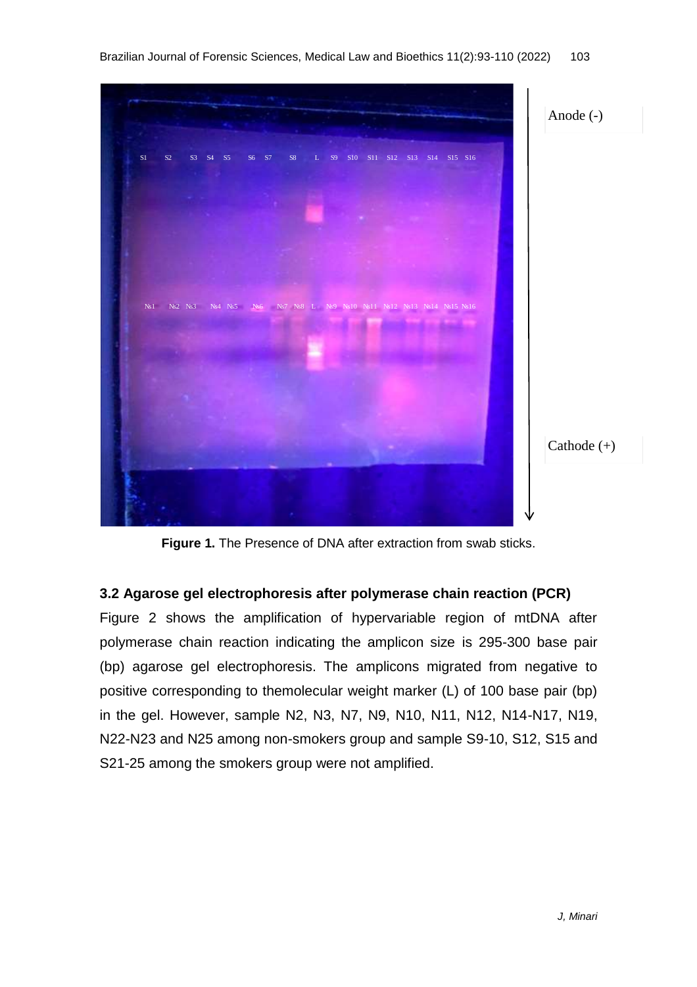

**Figure 1.** The Presence of DNA after extraction from swab sticks.

#### **3.2 Agarose gel electrophoresis after polymerase chain reaction (PCR)**

Figure 2 shows the amplification of hypervariable region of mtDNA after polymerase chain reaction indicating the amplicon size is 295-300 base pair (bp) agarose gel electrophoresis. The amplicons migrated from negative to positive corresponding to themolecular weight marker (L) of 100 base pair (bp) in the gel. However, sample N2, N3, N7, N9, N10, N11, N12, N14-N17, N19, N22-N23 and N25 among non-smokers group and sample S9-10, S12, S15 and S21-25 among the smokers group were not amplified.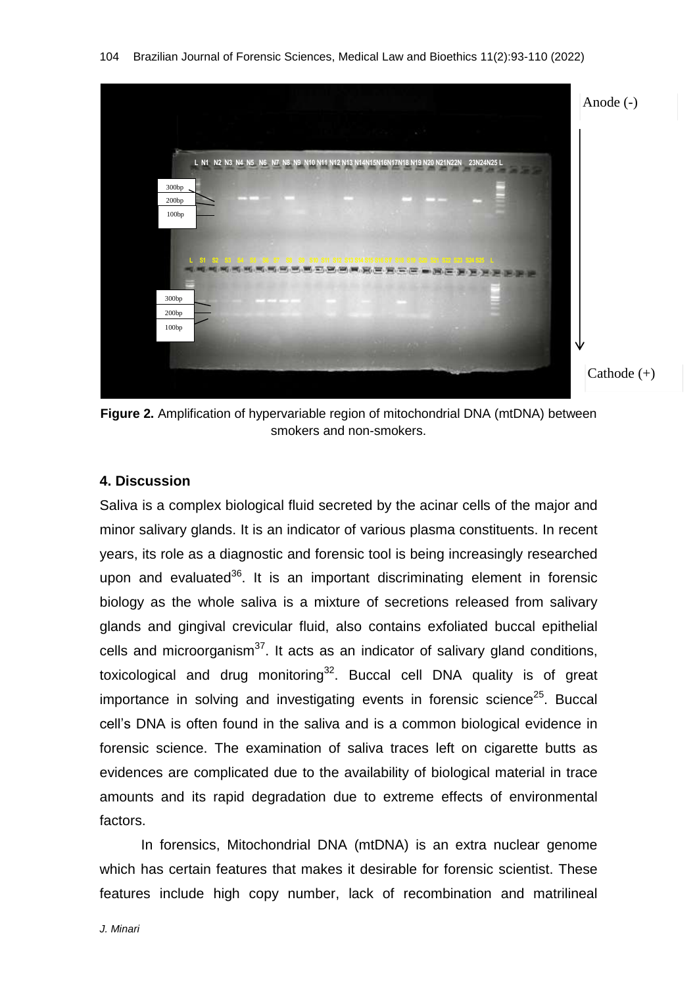

**Figure 2.** Amplification of hypervariable region of mitochondrial DNA (mtDNA) between smokers and non-smokers.

#### **4. Discussion**

Saliva is a complex biological fluid secreted by the acinar cells of the major and minor salivary glands. It is an indicator of various plasma constituents. In recent years, its role as a diagnostic and forensic tool is being increasingly researched upon and evaluated<sup>36</sup>. It is an important discriminating element in forensic biology as the whole saliva is a mixture of secretions released from salivary glands and gingival crevicular fluid, also contains exfoliated buccal epithelial cells and microorganism<sup>37</sup>. It acts as an indicator of salivary gland conditions, toxicological and drug monitoring<sup>32</sup>. Buccal cell DNA quality is of great importance in solving and investigating events in forensic science<sup>25</sup>. Buccal cell's DNA is often found in the saliva and is a common biological evidence in forensic science. The examination of saliva traces left on cigarette butts as evidences are complicated due to the availability of biological material in trace amounts and its rapid degradation due to extreme effects of environmental factors.

In forensics, Mitochondrial DNA (mtDNA) is an extra nuclear genome which has certain features that makes it desirable for forensic scientist. These features include high copy number, lack of recombination and matrilineal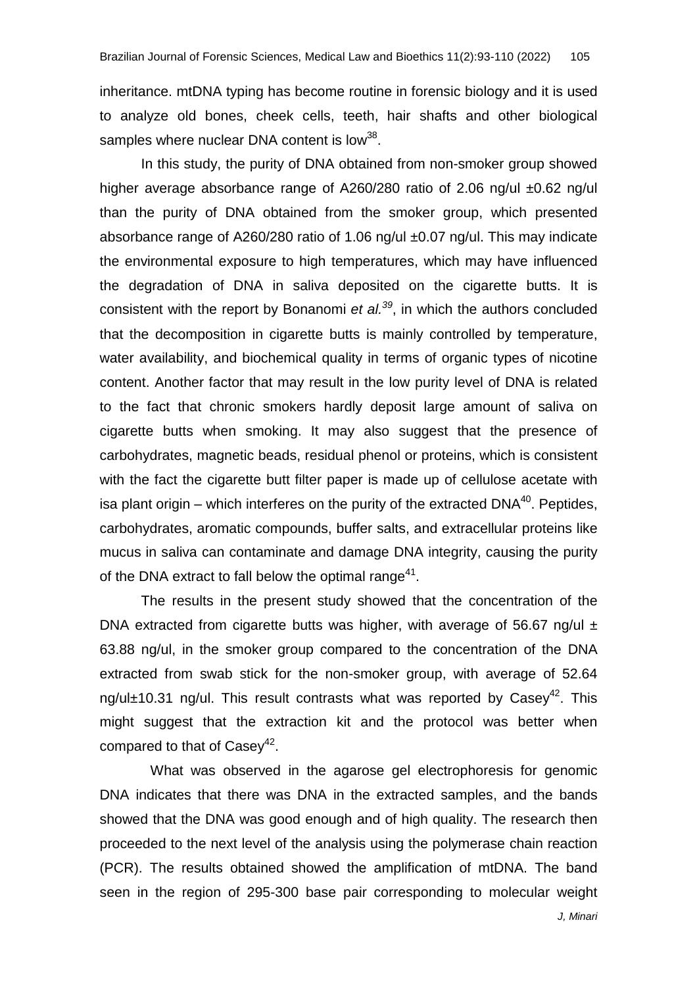inheritance. mtDNA typing has become routine in forensic biology and it is used to analyze old bones, cheek cells, teeth, hair shafts and other biological samples where nuclear DNA content is low<sup>38</sup>.

In this study, the purity of DNA obtained from non-smoker group showed higher average absorbance range of A260/280 ratio of 2.06 ng/ul ±0.62 ng/ul than the purity of DNA obtained from the smoker group, which presented absorbance range of A260/280 ratio of 1.06 ng/ul ±0.07 ng/ul. This may indicate the environmental exposure to high temperatures, which may have influenced the degradation of DNA in saliva deposited on the cigarette butts. It is consistent with the report by [Bonanomi](https://www.ncbi.nlm.nih.gov/pubmed/?term=Bonanomi%20G%5BAuthor%5D&cauthor=true&cauthor_uid=25625643) *et al.<sup>39</sup>* , in which the authors concluded that the decomposition in cigarette butts is mainly controlled by temperature, water availability, and biochemical quality in terms of organic types of nicotine content. Another factor that may result in the low purity level of DNA is related to the fact that chronic smokers hardly deposit large amount of saliva on cigarette butts when smoking. It may also suggest that the presence of carbohydrates, magnetic beads, residual phenol or proteins, which is consistent with the fact the cigarette butt filter paper is made up of cellulose acetate with isa plant origin – which interferes on the purity of the extracted  $DNA^{40}$ . Peptides, carbohydrates, aromatic compounds, buffer salts, and extracellular proteins like mucus in saliva can contaminate and damage DNA integrity, causing the purity of the DNA extract to fall below the optimal range $41$ .

The results in the present study showed that the concentration of the DNA extracted from cigarette butts was higher, with average of 56.67 ng/ul  $\pm$ 63.88 ng/ul, in the smoker group compared to the concentration of the DNA extracted from swab stick for the non-smoker group, with average of 52.64 ng/ul±10.31 ng/ul. This result contrasts what was reported by Casey<sup>42</sup>. This might suggest that the extraction kit and the protocol was better when compared to that of Casey<sup>42</sup>.

 What was observed in the agarose gel electrophoresis for genomic DNA indicates that there was DNA in the extracted samples, and the bands showed that the DNA was good enough and of high quality. The research then proceeded to the next level of the analysis using the polymerase chain reaction (PCR). The results obtained showed the amplification of mtDNA. The band seen in the region of 295-300 base pair corresponding to molecular weight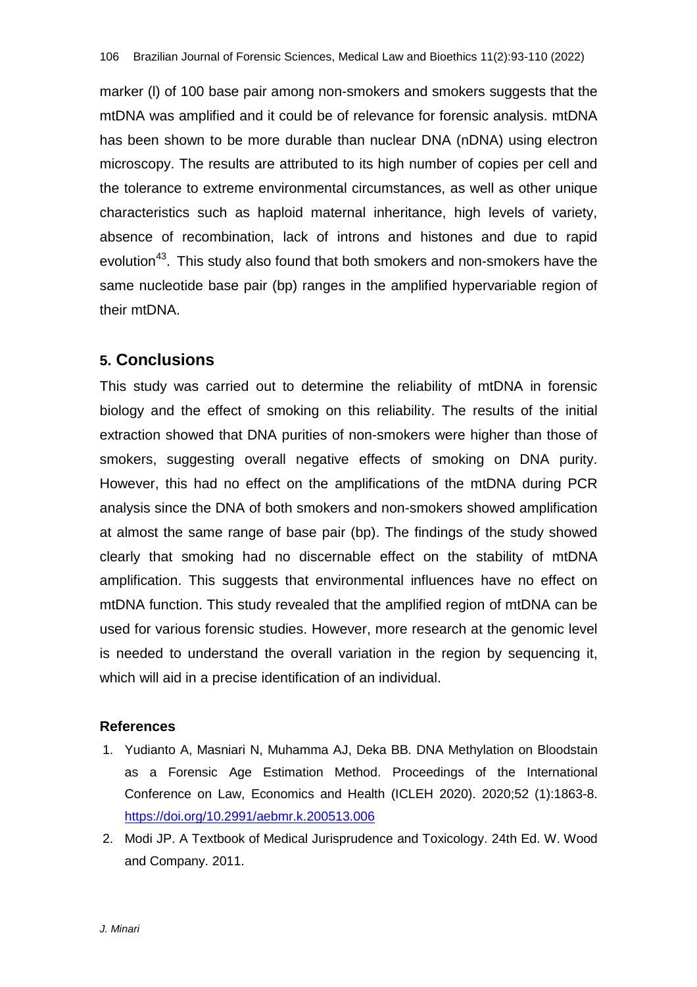marker (l) of 100 base pair among non-smokers and smokers suggests that the mtDNA was amplified and it could be of relevance for forensic analysis. mtDNA has been shown to be more durable than nuclear DNA (nDNA) using electron microscopy. The results are attributed to its high number of copies per cell and the tolerance to extreme environmental circumstances, as well as other unique characteristics such as haploid maternal inheritance, high levels of variety, absence of recombination, lack of introns and histones and due to rapid evolution<sup>43</sup>. This study also found that both smokers and non-smokers have the same nucleotide base pair (bp) ranges in the amplified hypervariable region of their mtDNA.

# **5. Conclusions**

This study was carried out to determine the reliability of mtDNA in forensic biology and the effect of smoking on this reliability. The results of the initial extraction showed that DNA purities of non-smokers were higher than those of smokers, suggesting overall negative effects of smoking on DNA purity. However, this had no effect on the amplifications of the mtDNA during PCR analysis since the DNA of both smokers and non-smokers showed amplification at almost the same range of base pair (bp). The findings of the study showed clearly that smoking had no discernable effect on the stability of mtDNA amplification. This suggests that environmental influences have no effect on mtDNA function. This study revealed that the amplified region of mtDNA can be used for various forensic studies. However, more research at the genomic level is needed to understand the overall variation in the region by sequencing it, which will aid in a precise identification of an individual.

#### **References**

- 1. Yudianto A, Masniari N, Muhamma AJ, Deka BB. DNA Methylation on Bloodstain as a Forensic Age Estimation Method. Proceedings of the International Conference on Law, Economics and Health (ICLEH 2020). 2020;52 (1):1863-8. <https://doi.org/10.2991/aebmr.k.200513.006>
- 2. Modi JP. A Textbook of Medical Jurisprudence and Toxicology. 24th Ed. W. Wood and Company. 2011.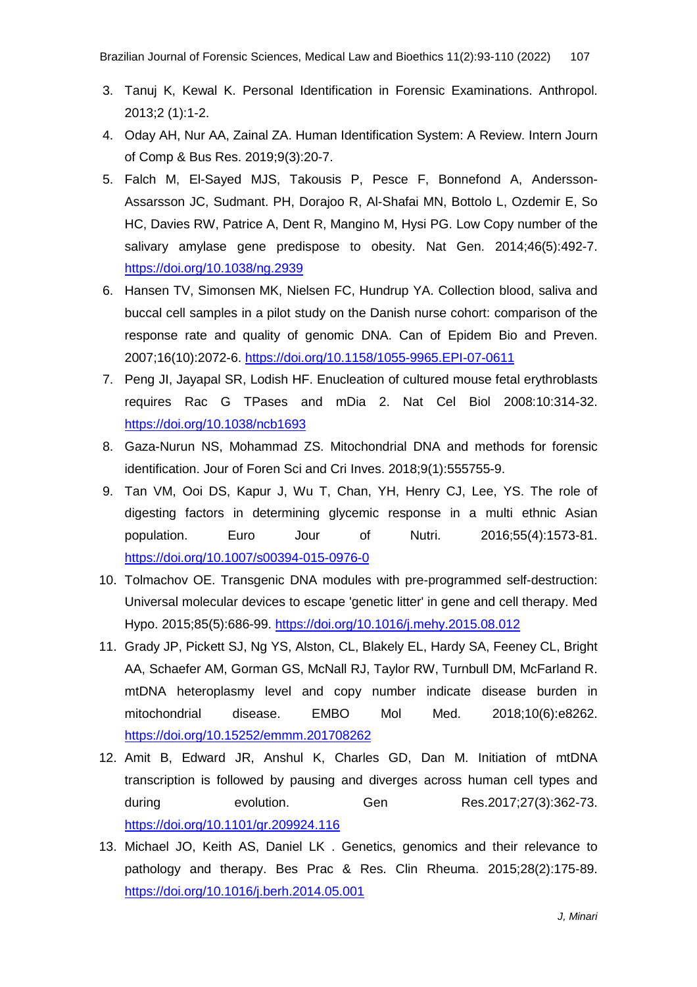- 3. Tanuj K, Kewal K. Personal Identification in Forensic Examinations. Anthropol. 2013;2 (1):1-2.
- 4. Oday AH, Nur AA, Zainal ZA. Human Identification System: A Review. Intern Journ of Comp & Bus Res. 2019;9(3):20-7.
- 5. Falch M, El-Sayed MJS, Takousis P, Pesce F, Bonnefond A, Andersson-Assarsson JC, Sudmant. PH, Dorajoo R, Al-Shafai MN, Bottolo L, Ozdemir E, So HC, Davies RW, Patrice A, Dent R, Mangino M, Hysi PG. Low Copy number of the salivary amylase gene predispose to obesity. Nat Gen. 2014;46(5):492-7. <https://doi.org/10.1038/ng.2939>
- 6. Hansen TV, Simonsen MK, Nielsen FC, Hundrup YA. Collection blood, saliva and buccal cell samples in a pilot study on the Danish nurse cohort: comparison of the response rate and quality of genomic DNA. Can of Epidem Bio and Preven. 2007;16(10):2072-6. <https://doi.org/10.1158/1055-9965.EPI-07-0611>
- 7. Peng JI, Jayapal SR, Lodish HF. Enucleation of cultured mouse fetal erythroblasts requires Rac G TPases and mDia 2. Nat Cel Biol 2008:10:314-32. <https://doi.org/10.1038/ncb1693>
- 8. Gaza-Nurun NS, Mohammad ZS. Mitochondrial DNA and methods for forensic identification. Jour of Foren Sci and Cri Inves. 2018;9(1):555755-9.
- 9. Tan VM, Ooi DS, Kapur J, Wu T, Chan, YH, Henry CJ, Lee, YS. The role of digesting factors in determining glycemic response in a multi ethnic Asian population. Euro Jour of Nutri. 2016;55(4):1573-81. <https://doi.org/10.1007/s00394-015-0976-0>
- 10. Tolmachov OE. Transgenic DNA modules with pre-programmed self-destruction: Universal molecular devices to escape 'genetic litter' in gene and cell therapy. Med Hypo. 2015;85(5):686-99. <https://doi.org/10.1016/j.mehy.2015.08.012>
- 11. Grady JP, Pickett SJ, Ng YS, Alston, CL, Blakely EL, Hardy SA, Feeney CL, Bright AA, Schaefer AM, Gorman GS, McNall RJ, Taylor RW, Turnbull DM, McFarland R. mtDNA heteroplasmy level and copy number indicate disease burden in mitochondrial disease. EMBO Mol Med. 2018;10(6):e8262. <https://doi.org/10.15252/emmm.201708262>
- 12. Amit B, Edward JR, Anshul K, Charles GD, Dan M. Initiation of mtDNA transcription is followed by pausing and diverges across human cell types and during evolution. Gen Res.2017;27(3):362-73. <https://doi.org/10.1101/gr.209924.116>
- 13. Michael JO, Keith AS, Daniel LK . Genetics, genomics and their relevance to pathology and therapy. Bes Prac & Res. Clin Rheuma. 2015;28(2):175-89. <https://doi.org/10.1016/j.berh.2014.05.001>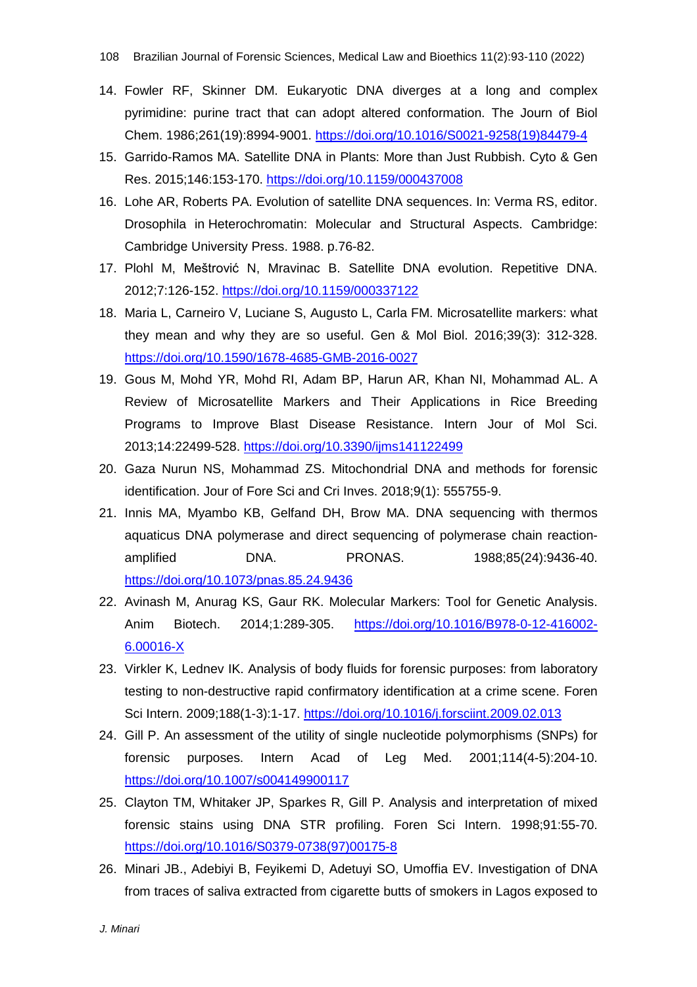- 14. Fowler RF, Skinner DM. Eukaryotic DNA diverges at a long and complex pyrimidine: purine tract that can adopt altered conformation. The Journ of Biol Chem. 1986;261(19):8994-9001. [https://doi.org/10.1016/S0021-9258\(19\)84479-4](https://doi.org/10.1016/S0021-9258(19)84479-4)
- 15. Garrido-Ramos MA. Satellite DNA in Plants: More than Just Rubbish. Cyto & Gen Res. 2015;146:153-170. <https://doi.org/10.1159/000437008>
- 16. Lohe AR, Roberts PA. Evolution of satellite DNA sequences. In: Verma RS, editor. Drosophila in Heterochromatin: Molecular and Structural Aspects. Cambridge: Cambridge University Press. 1988. p.76-82.
- 17. Plohl M, Meštrović N, Mravinac B. Satellite DNA evolution. Repetitive DNA. 2012;7:126-152. <https://doi.org/10.1159/000337122>
- 18. Maria L, Carneiro V, Luciane S, Augusto L, Carla FM. Microsatellite markers: what they mean and why they are so useful. Gen & Mol Biol. 2016;39(3): 312-328. <https://doi.org/10.1590/1678-4685-GMB-2016-0027>
- 19. Gous M, Mohd YR, Mohd RI, Adam BP, Harun AR, Khan NI, Mohammad AL. A Review of Microsatellite Markers and Their Applications in Rice Breeding Programs to Improve Blast Disease Resistance. Intern Jour of Mol Sci. 2013;14:22499-528. <https://doi.org/10.3390/ijms141122499>
- 20. Gaza Nurun NS, Mohammad ZS. Mitochondrial DNA and methods for forensic identification. Jour of Fore Sci and Cri Inves. 2018;9(1): 555755-9.
- 21. Innis MA, Myambo KB, Gelfand DH, Brow MA. DNA sequencing with thermos aquaticus DNA polymerase and direct sequencing of polymerase chain reactionamplified **DNA.** PRONAS. 1988;85(24):9436-40. <https://doi.org/10.1073/pnas.85.24.9436>
- 22. Avinash M, Anurag KS, Gaur RK. Molecular Markers: Tool for Genetic Analysis. Anim Biotech. 2014;1:289-305. [https://doi.org/10.1016/B978-0-12-416002-](https://doi.org/10.1016/B978-0-12-416002-6.00016-X) [6.00016-X](https://doi.org/10.1016/B978-0-12-416002-6.00016-X)
- 23. Virkler K, Lednev IK. Analysis of body fluids for forensic purposes: from laboratory testing to non-destructive rapid confirmatory identification at a crime scene. Foren Sci Intern. 2009;188(1-3):1-17. <https://doi.org/10.1016/j.forsciint.2009.02.013>
- 24. Gill P. An assessment of the utility of single nucleotide polymorphisms (SNPs) for forensic purposes. Intern Acad of Leg Med. 2001;114(4-5):204-10. <https://doi.org/10.1007/s004149900117>
- 25. Clayton TM, Whitaker JP, Sparkes R, Gill P. Analysis and interpretation of mixed forensic stains using DNA STR profiling. Foren Sci Intern. 1998;91:55-70. [https://doi.org/10.1016/S0379-0738\(97\)00175-8](https://doi.org/10.1016/S0379-0738(97)00175-8)
- 26. Minari JB., Adebiyi B, Feyikemi D, Adetuyi SO, Umoffia EV. Investigation of DNA from traces of saliva extracted from cigarette butts of smokers in Lagos exposed to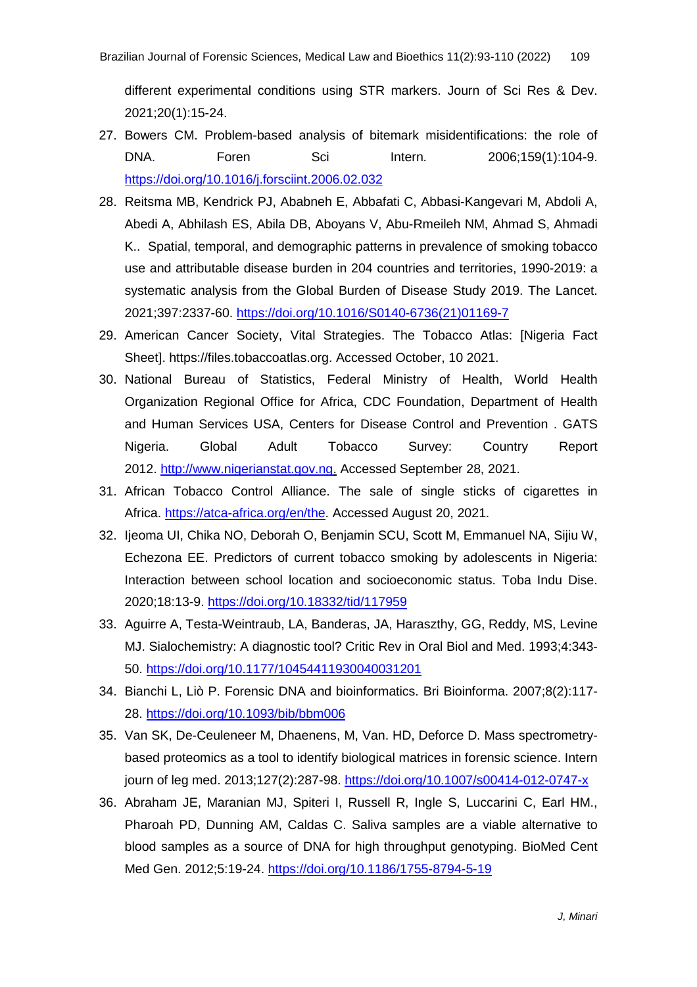different experimental conditions using STR markers. Journ of Sci Res & Dev. 2021;20(1):15-24.

- 27. Bowers CM. Problem-based analysis of bitemark misidentifications: the role of DNA. Foren Sci Intern. 2006;159(1):104-9. <https://doi.org/10.1016/j.forsciint.2006.02.032>
- 28. Reitsma MB, Kendrick PJ, Ababneh E, Abbafati C, Abbasi-Kangevari M, Abdoli A, Abedi A, Abhilash ES, Abila DB, Aboyans V, Abu-Rmeileh NM, Ahmad S, Ahmadi K.. Spatial, temporal, and demographic patterns in prevalence of smoking tobacco use and attributable disease burden in 204 countries and territories, 1990-2019: a systematic analysis from the Global Burden of Disease Study 2019. The Lancet. 2021;397:2337-60. [https://doi.org/10.1016/S0140-6736\(21\)01169-7](https://doi.org/10.1016/S0140-6736(21)01169-7)
- 29. American Cancer Society, Vital Strategies. The Tobacco Atlas: [Nigeria Fact Sheet]. [https://files.tobaccoatlas.org.](https://files.tobaccoatlas.org/wp-content/uploads/pdf/nigeria-country-facts-en.pdf) Accessed October, 10 2021.
- 30. National Bureau of Statistics, Federal Ministry of Health, World Health Organization Regional Office for Africa, CDC Foundation, Department of Health and Human Services USA, Centers for Disease Control and Prevention . GATS Nigeria. Global Adult Tobacco Survey: Country Report 2012. [http://www.nigerianstat.gov.ng.](http://www.nigerianstat.gov.ng./) Accessed September 28, 2021.
- 31. African Tobacco Control Alliance. The sale of single sticks of cigarettes in Africa. [https://atca-africa.org/en/the.](https://atca-africa.org/en/the) Accessed August 20, 2021.
- 32. Ijeoma UI, Chika NO, Deborah O, Benjamin SCU, Scott M, Emmanuel NA, Sijiu W, Echezona EE. Predictors of current tobacco smoking by adolescents in Nigeria: Interaction between school location and socioeconomic status. Toba Indu Dise. 2020;18:13-9. <https://doi.org/10.18332/tid/117959>
- 33. Aguirre A, Testa-Weintraub, LA, Banderas, JA, Haraszthy, GG, Reddy, MS, Levine MJ. Sialochemistry: A diagnostic tool? Critic Rev in Oral Biol and Med. 1993;4:343- 50. <https://doi.org/10.1177/10454411930040031201>
- 34. Bianchi L, Liò P. Forensic DNA and bioinformatics. Bri Bioinforma. 2007;8(2):117- 28. <https://doi.org/10.1093/bib/bbm006>
- 35. Van SK, De-Ceuleneer M, Dhaenens, M, Van. HD, Deforce D. Mass spectrometrybased proteomics as a tool to identify biological matrices in forensic science. Intern journ of leg med. 2013;127(2):287-98. <https://doi.org/10.1007/s00414-012-0747-x>
- 36. Abraham JE, Maranian MJ, Spiteri I, Russell R, Ingle S, Luccarini C, Earl HM., Pharoah PD, Dunning AM, Caldas C. Saliva samples are a viable alternative to blood samples as a source of DNA for high throughput genotyping. BioMed Cent Med Gen. 2012;5:19-24. <https://doi.org/10.1186/1755-8794-5-19>